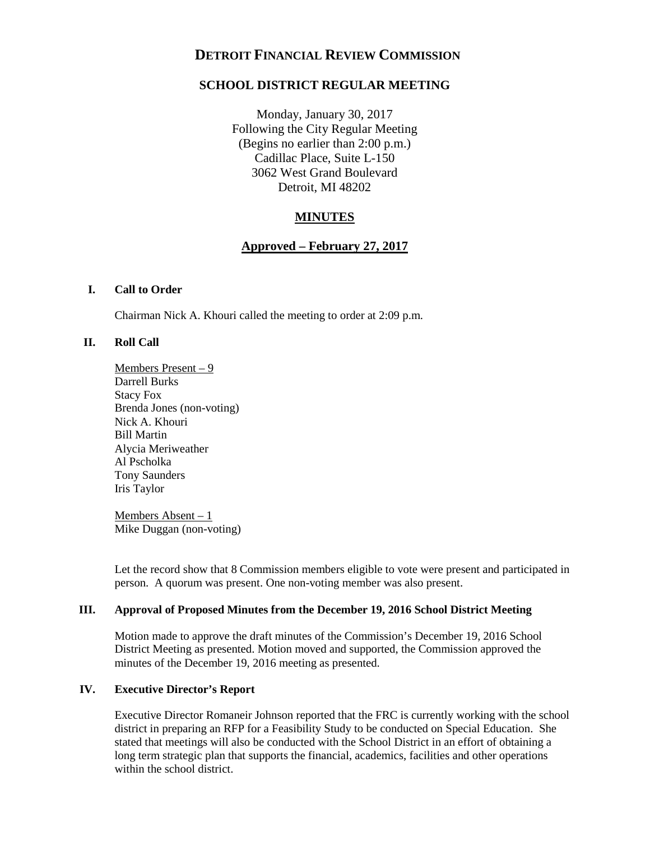# **DETROIT FINANCIAL REVIEW COMMISSION**

# **SCHOOL DISTRICT REGULAR MEETING**

Monday, January 30, 2017 Following the City Regular Meeting (Begins no earlier than 2:00 p.m.) Cadillac Place, Suite L-150 3062 West Grand Boulevard Detroit, MI 48202

# **MINUTES**

# **Approved – February 27, 2017**

#### **I. Call to Order**

Chairman Nick A. Khouri called the meeting to order at 2:09 p.m.

## **II. Roll Call**

Members Present – 9 Darrell Burks Stacy Fox Brenda Jones (non-voting) Nick A. Khouri Bill Martin Alycia Meriweather Al Pscholka Tony Saunders Iris Taylor

Members Absent – 1 Mike Duggan (non-voting)

Let the record show that 8 Commission members eligible to vote were present and participated in person. A quorum was present. One non-voting member was also present.

## **III. Approval of Proposed Minutes from the December 19, 2016 School District Meeting**

Motion made to approve the draft minutes of the Commission's December 19, 2016 School District Meeting as presented. Motion moved and supported, the Commission approved the minutes of the December 19, 2016 meeting as presented.

## **IV. Executive Director's Report**

Executive Director Romaneir Johnson reported that the FRC is currently working with the school district in preparing an RFP for a Feasibility Study to be conducted on Special Education. She stated that meetings will also be conducted with the School District in an effort of obtaining a long term strategic plan that supports the financial, academics, facilities and other operations within the school district.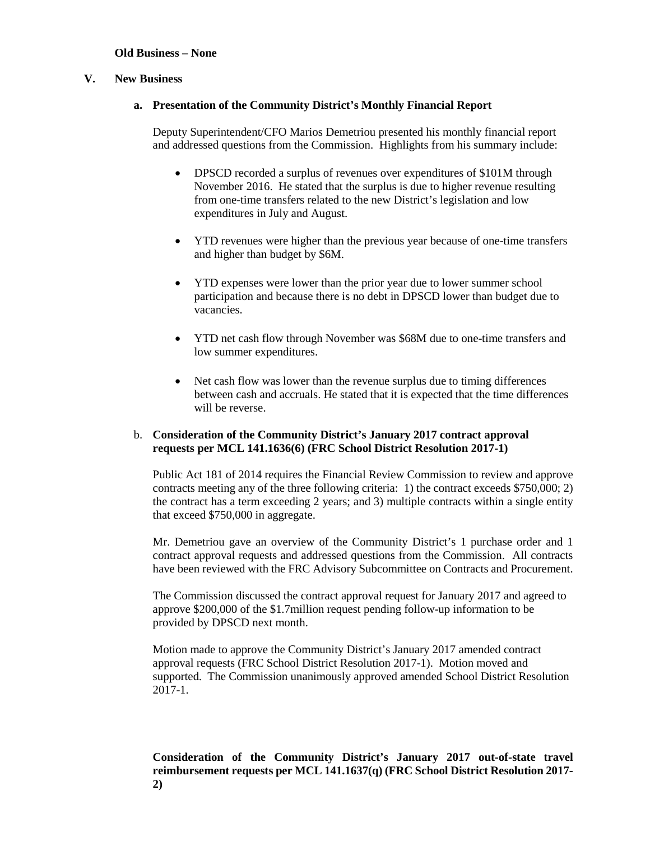## **Old Business – None**

#### **V. New Business**

#### **a. Presentation of the Community District's Monthly Financial Report**

Deputy Superintendent/CFO Marios Demetriou presented his monthly financial report and addressed questions from the Commission. Highlights from his summary include:

- DPSCD recorded a surplus of revenues over expenditures of \$101M through November 2016. He stated that the surplus is due to higher revenue resulting from one-time transfers related to the new District's legislation and low expenditures in July and August.
- YTD revenues were higher than the previous year because of one-time transfers and higher than budget by \$6M.
- YTD expenses were lower than the prior year due to lower summer school participation and because there is no debt in DPSCD lower than budget due to vacancies.
- YTD net cash flow through November was \$68M due to one-time transfers and low summer expenditures.
- Net cash flow was lower than the revenue surplus due to timing differences between cash and accruals. He stated that it is expected that the time differences will be reverse.

## b. **Consideration of the Community District's January 2017 contract approval requests per MCL 141.1636(6) (FRC School District Resolution 2017-1)**

Public Act 181 of 2014 requires the Financial Review Commission to review and approve contracts meeting any of the three following criteria: 1) the contract exceeds \$750,000; 2) the contract has a term exceeding 2 years; and 3) multiple contracts within a single entity that exceed \$750,000 in aggregate.

Mr. Demetriou gave an overview of the Community District's 1 purchase order and 1 contract approval requests and addressed questions from the Commission. All contracts have been reviewed with the FRC Advisory Subcommittee on Contracts and Procurement.

The Commission discussed the contract approval request for January 2017 and agreed to approve \$200,000 of the \$1.7million request pending follow-up information to be provided by DPSCD next month.

Motion made to approve the Community District's January 2017 amended contract approval requests (FRC School District Resolution 2017-1). Motion moved and supported. The Commission unanimously approved amended School District Resolution 2017-1.

**Consideration of the Community District's January 2017 out-of-state travel reimbursement requests per MCL 141.1637(q) (FRC School District Resolution 2017- 2)**